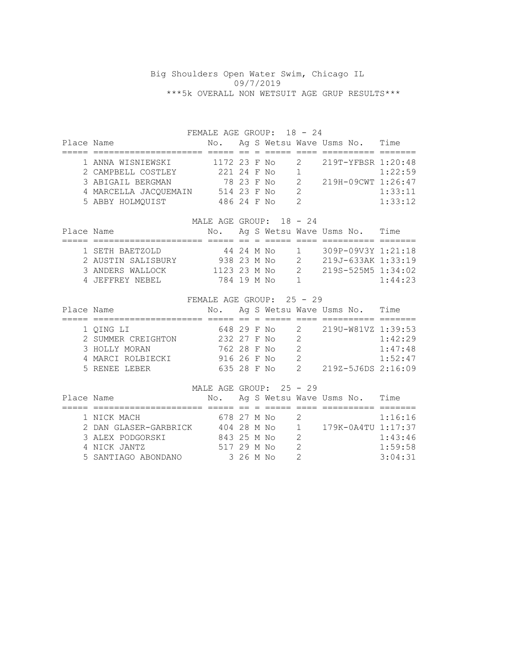## Big Shoulders Open Water Swim, Chicago IL 09/7/2019 \*\*\*5k OVERALL NON WETSUIT AGE GRUP RESULTS\*\*\*

FEMALE AGE GROUP: 18 - 24

| Place Name |                       | No.          |            |  |                | Ag S Wetsu Wave Usms No. | Time    |
|------------|-----------------------|--------------|------------|--|----------------|--------------------------|---------|
|            |                       |              |            |  |                |                          |         |
|            | 1 ANNA WISNIEWSKI     | 1172 23 F No |            |  | $\overline{2}$ | 219T-YFBSR 1:20:48       |         |
|            | 2 CAMPBELL COSTLEY    | 221 24 F No  |            |  |                |                          | 1:22:59 |
|            | 3 ABIGAIL BERGMAN     |              | 78 23 F No |  |                | 219H-09CWT 1:26:47       |         |
|            | 4 MARCELLA JACOUEMAIN | 514 23 F No  |            |  | $\mathcal{P}$  |                          | 1:33:11 |
|            | 5 ABBY HOLMOUIST      | 486 24 F No  |            |  |                |                          | 1:33:12 |

## MALE AGE GROUP: 18 - 24

| Place Name |                    |               |            |  |          | No. Ag S Wetsu Wave Usms No. | Time    |
|------------|--------------------|---------------|------------|--|----------|------------------------------|---------|
|            |                    |               |            |  |          |                              |         |
|            | 1 SETH BAETZOLD    |               | 44 24 M No |  | $\sim$ 1 | $309P - 09V3Y 1:21:18$       |         |
|            | 2 AUSTIN SALISBURY | 938 23 M No   |            |  |          | 219J-633AK 1:33:19           |         |
|            | 3 ANDERS WALLOCK   | 1123 23 M No. |            |  |          | 219S-525M5 1:34:02           |         |
|            | 4 JEFFREY NEBEL    | 784 19 M No   |            |  |          |                              | 1:44:23 |

## FEMALE AGE GROUP: 25 - 29

| Place Name |                    | No.         |  |   | Ag S Wetsu Wave Usms No. | Time    |
|------------|--------------------|-------------|--|---|--------------------------|---------|
|            |                    |             |  |   |                          |         |
|            | 1 QING LI          | 648 29 F No |  | 2 | 219U-W81VZ 1:39:53       |         |
|            | 2 SUMMER CREIGHTON | 232 27 F No |  |   |                          | 1:42:29 |
|            | 3 HOLLY MORAN      | 762 28 F No |  |   |                          | 1:47:48 |
|            | 4 MARCI ROLBIECKI  | 916 26 F No |  |   |                          | 1:52:47 |
|            | 5 RENEE LEBER      | 635 28 F No |  |   | 219Z-5J6DS 2:16:09       |         |

|            |                       | MALE AGE GROUP: 25 - 29 |           |  |    |                          |         |
|------------|-----------------------|-------------------------|-----------|--|----|--------------------------|---------|
| Place Name |                       | No.                     |           |  |    | Ag S Wetsu Wave Usms No. | Time    |
|            |                       |                         |           |  |    |                          |         |
|            | 1 NICK MACH           | 678 27 M No             |           |  | -2 |                          | 1:16:16 |
|            | 2 DAN GLASER-GARBRICK | 404 28 M No             |           |  |    | 1 179K-0A4TU 1:17:37     |         |
|            | 3 ALEX PODGORSKI      | 843 25 M No             |           |  | -2 |                          | 1:43:46 |
|            | 4 NICK JANTZ          | 517 29 M No             |           |  |    |                          | 1:59:58 |
|            | 5 SANTIAGO ABONDANO   |                         | 3 26 M No |  |    |                          | 3:04:31 |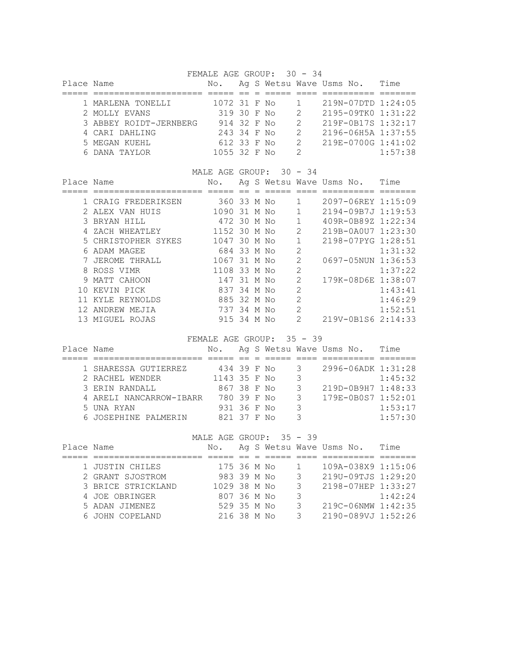FEMALE AGE GROUP: 30 - 34

| Place Name |                        | No.          |  |               | Ag S Wetsu Wave Usms No. | Time    |
|------------|------------------------|--------------|--|---------------|--------------------------|---------|
|            |                        |              |  |               |                          |         |
|            | 1 MARLENA TONELLI      | 1072 31 F No |  |               | 219N-07DTD 1:24:05       |         |
|            | 2 MOLLY EVANS          | 319 30 F No  |  | $\mathcal{P}$ | 2195-09TK0 1:31:22       |         |
|            | 3 ABBEY ROIDT-JERNBERG | 914 32 F No  |  | $\mathcal{P}$ | 219F-0B17S 1:32:17       |         |
|            | 4 CARI DAHLING         | 243 34 F No  |  |               | 2196-06H5A 1:37:55       |         |
|            | 5 MEGAN KUEHL          | 612 33 F No  |  | $\mathcal{L}$ | 219E-0700G 1:41:02       |         |
|            | 6 DANA TAYLOR          | 1055 32 F No |  | $\mathcal{D}$ |                          | 1:57:38 |

|            |                     | MALE AGE GROUP: 30 - 34 |         |  |                |                          |         |
|------------|---------------------|-------------------------|---------|--|----------------|--------------------------|---------|
| Place Name |                     | No.                     |         |  |                | Ag S Wetsu Wave Usms No. | Time    |
|            |                     |                         |         |  |                |                          |         |
|            | 1 CRAIG FREDERIKSEN | 360 33 M No             |         |  |                | 2097-06REY 1:15:09       |         |
|            | 2 ALEX VAN HUIS     | 1090                    | 31 M No |  |                | 2194-09B7J 1:19:53       |         |
|            | 3 BRYAN HILL        | 472 30 M No             |         |  | $\mathbf{1}$   | 409R-0B89Z 1:22:34       |         |
|            | ZACH WHEATLEY       | 1152 30 M No            |         |  | 2              | 219B-0A0U7 1:23:30       |         |
|            | 5 CHRISTOPHER SYKES | 1047                    | 30 M No |  |                | 2198-07PYG 1:28:51       |         |
| 6          | ADAM MAGEE          | 684 33 M No             |         |  | $\overline{2}$ |                          | 1:31:32 |
|            | JEROME THRALL       | 1067 31 M No            |         |  | $\mathcal{L}$  | 0697-05NUN 1:36:53       |         |
|            | 8 ROSS VIMR         | 1108                    | 33 M No |  | $\overline{2}$ |                          | 1:37:22 |
| 9          | MATT CAHOON         | 147                     | 31 M No |  | $\mathcal{L}$  | 179K-08D6E 1:38:07       |         |
| 1 N        | KEVIN PICK          | 837                     | 34 M No |  | $\overline{2}$ |                          | 1:43:41 |
|            | KYLE REYNOLDS       | 885 32 M No             |         |  | $\mathcal{D}$  |                          | 1:46:29 |
|            | ANDREW MEJIA        | 737                     | 34 M No |  | $\mathcal{D}$  |                          | 1:52:51 |
| 13.        | MIGUEL ROJAS        | 915 34 M No             |         |  | $\mathcal{D}$  | 219V-0B1S6 2:14:33       |         |

FEMALE AGE GROUP: 35 - 39

| Place Name |                         | No.          |  |               | Ag S Wetsu Wave Usms No. | Time    |
|------------|-------------------------|--------------|--|---------------|--------------------------|---------|
|            |                         |              |  |               |                          |         |
|            | 1 SHARESSA GUTIERREZ    | 434 39 F No  |  | 3 -           | 2996-06ADK 1:31:28       |         |
|            | 2 RACHEL WENDER         | 1143 35 F No |  | 3             |                          | 1:45:32 |
|            | 3 ERIN RANDALL          | 867 38 F No  |  | 3             | 219D-0B9H7 1:48:33       |         |
|            | 4 ARELI NANCARROW-IBARR | 780 39 F No  |  | $\mathcal{S}$ | 179E-0B0S7 1:52:01       |         |
|            | 5 UNA RYAN              | 931 36 F No  |  | 3             |                          | 1:53:17 |
|            | 6 JOSEPHINE PALMERIN    | 821 37 F No  |  | っ             |                          | 1:57:30 |

MALE AGE GROUP: 35 - 39

| Place Name |                    | No.          |  |               | Ag S Wetsu Wave Usms No. | Time    |
|------------|--------------------|--------------|--|---------------|--------------------------|---------|
|            |                    |              |  |               |                          |         |
|            | 1 JUSTIN CHILES    | 175 36 M No  |  |               | 109A-038X9 1:15:06       |         |
|            | 2 GRANT SJOSTROM   | 983 39 M No  |  | $\mathcal{A}$ | 219U-09TJS 1:29:20       |         |
|            | 3 BRICE STRICKLAND | 1029 38 M No |  | 3             | 2198-07HEP 1:33:27       |         |
|            | 4 JOE OBRINGER     | 807 36 M No  |  | 3             |                          | 1:42:24 |
|            | 5 ADAN JIMENEZ     | 529 35 M No  |  |               | 219C-06NMW 1:42:35       |         |
|            | 6 JOHN COPELAND    | 216 38 M No  |  | 3             | 2190-089VJ 1:52:26       |         |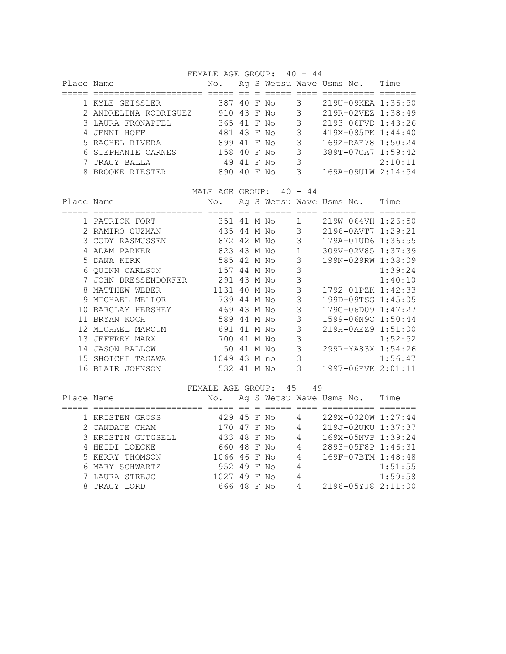FEMALE AGE GROUP: 40 - 44

| Place Name |                       | No.         |            |     |    |   | Ag S Wetsu Wave Usms No. | Time    |
|------------|-----------------------|-------------|------------|-----|----|---|--------------------------|---------|
|            |                       |             |            |     |    |   |                          |         |
|            | 1 KYLE GEISSLER       | 387 40 F No |            |     |    |   | 219U-09KEA 1:36:50       |         |
|            | 2 ANDRELINA RODRIGUEZ | 910 43 F No |            |     |    | 3 | 219R-02VEZ 1:38:49       |         |
|            | 3 LAURA FRONAPFEL     | 365 41 F No |            |     |    | 3 | 2193-06FVD 1:43:26       |         |
|            | 4 JENNI HOFF          | 481 43 F No |            |     |    | 3 | 419X-085PK 1:44:40       |         |
|            | 5 RACHEL RIVERA       | 899 41 F No |            |     |    | 3 | 169Z-RAE78 1:50:24       |         |
|            | 6 STEPHANIE CARNES    | 158 40 F No |            |     |    | 3 | 389T-07CA7 1:59:42       |         |
|            | 7 TRACY BALLA         |             | 49 41 F No |     |    | 3 |                          | 2:10:11 |
|            | 8 BROOKE RIESTER      | 890         | 40         | - F | N∩ |   | 169A-09U1W 2:14:54       |         |

MALE AGE GROUP:  $40 - 44$ 

| Place Name      |                     | No.         |         |   |    |   | Ag S Wetsu Wave Usms No. | Time    |
|-----------------|---------------------|-------------|---------|---|----|---|--------------------------|---------|
|                 |                     |             |         |   |    |   |                          |         |
|                 | PATRICK FORT        | 351         | 41 M No |   |    | 1 | 219W-064VH 1:26:50       |         |
|                 | 2 RAMIRO GUZMAN     | 435 44 M No |         |   |    | 3 | 2196-0AVT7 1:29:21       |         |
|                 | 3 CODY RASMUSSEN    | 872         | 42 M No |   |    | 3 | 179A-01UD6 1:36:55       |         |
|                 | ADAM PARKER         | 823 43 M No |         |   |    | 1 | 309V-02V85 1:37:39       |         |
|                 | 5 DANA KIRK         | 585 42 M No |         |   |    | 3 | 199N-029RW 1:38:09       |         |
|                 | 6 QUINN CARLSON     | 157 44 M No |         |   |    | 3 |                          | 1:39:24 |
|                 | JOHN DRESSENDORFER  | 291         | 43 M No |   |    | 3 |                          | 1:40:10 |
| 8               | MATTHEW WEBER       | 1131        | 40 M No |   |    | 3 | 1792-01PZK 1:42:33       |         |
| 9               | MICHAEL MELLOR      | 739 44 M No |         |   |    | 3 | 199D-09TSG 1:45:05       |         |
| 10              | BARCLAY HERSHEY     | 469 43 M No |         |   |    | 3 | 179G-06D09 1:47:27       |         |
|                 | 11 BRYAN KOCH       | 589         | 44 M No |   |    | 3 | 1599-06N9C 1:50:44       |         |
| 12 <sup>°</sup> | MICHAEL MARCUM      | 691         | 41 M No |   |    | 3 | 219H-0AEZ9 1:51:00       |         |
| 13              | JEFFREY MARX        | 700         | 41      | М | No | 3 |                          | 1:52:52 |
| 14              | <b>JASON BALLOW</b> | 50.         | 41 M No |   |    | 3 | 299R-YA83X 1:54:26       |         |
| 1.5             | SHOICHI TAGAWA      | 1049        | 43 M no |   |    | 3 |                          | 1:56:47 |
|                 | 16 BLAIR JOHNSON    | 532 41 M No |         |   |    | 3 | 1997-06EVK 2:01:11       |         |

## FEMALE AGE GROUP: 45 - 49

| Place Name |                    | No.          |  |   | Ag S Wetsu Wave Usms No. | Time    |
|------------|--------------------|--------------|--|---|--------------------------|---------|
|            |                    |              |  |   |                          |         |
|            | 1 KRISTEN GROSS    | 429 45 F No  |  |   | 229X-0020W 1:27:44       |         |
|            | 2 CANDACE CHAM     | 170 47 F No  |  | 4 | 219J-02UKU 1:37:37       |         |
|            | 3 KRISTIN GUTGSELL | 433 48 F No  |  | 4 | 169X-05NVP 1:39:24       |         |
|            | 4 HEIDI LOECKE     | 660 48 F No  |  | 4 | 2893-05F8P 1:46:31       |         |
|            | 5 KERRY THOMSON    | 1066 46 F No |  | 4 | 169F-07BTM 1:48:48       |         |
|            | 6 MARY SCHWARTZ    | 952 49 F No  |  | 4 |                          | 1:51:55 |
|            | 7 LAURA STREJC     | 1027 49 F No |  | 4 |                          | 1:59:58 |
|            | 8 TRACY LORD       | 666 48 F No  |  |   | 2196-05YJ8 2:11:00       |         |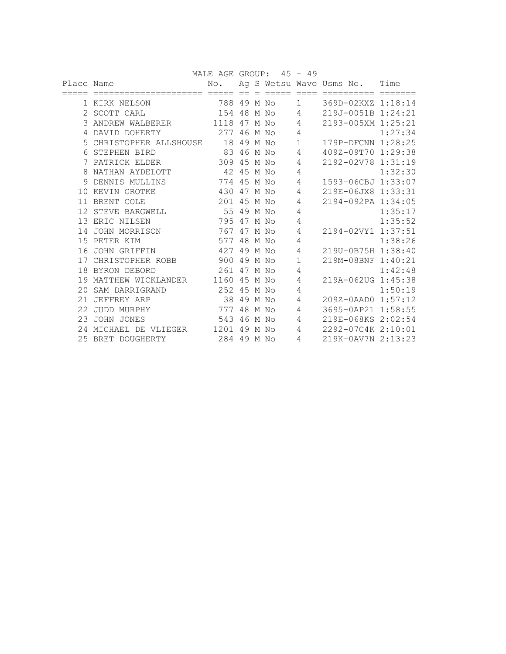|            |                         | MALE AGE GROUP: 45 - 49 |            |         |              |                               |         |
|------------|-------------------------|-------------------------|------------|---------|--------------|-------------------------------|---------|
| Place Name |                         | No.                     |            |         |              | Ag S Wetsu Wave Usms No. Time |         |
|            |                         |                         |            |         |              |                               |         |
|            | 1 KIRK NELSON           | 788 49 M No             |            |         | $\mathbf{1}$ | 369D-02KXZ 1:18:14            |         |
|            | 2 SCOTT CARL            | 154                     |            | 48 M No | 4            | 219J-0051B 1:24:21            |         |
|            | 3 ANDREW WALBERER       | 1118 47 M No            |            |         | 4            | 2193-005XM 1:25:21            |         |
| 4          | DAVID DOHERTY           | 277                     | 46 M No    |         | 4            |                               | 1:27:34 |
|            | 5 CHRISTOPHER ALLSHOUSE |                         | 18 49 M No |         | $\mathbf 1$  | 179P-DFCNN 1:28:25            |         |
| 6          | STEPHEN BIRD            | 83 46 M No              |            |         | 4            | 409Z-09T70 1:29:38            |         |
| 7          | PATRICK ELDER           | 309                     | 45 M No    |         | 4            | 2192-02V78 1:31:19            |         |
| 8          | NATHAN AYDELOTT         | 42 45 M No              |            |         | 4            |                               | 1:32:30 |
| 9          | DENNIS MULLINS          | 774 45 M No             |            |         | 4            | 1593-06CBJ 1:33:07            |         |
|            | 10 KEVIN GROTKE         | 430                     | 47 M No    |         | 4            | 219E-06JX8 1:33:31            |         |
|            | 11 BRENT COLE           | 201 45 M No             |            |         | 4            | 2194-092PA 1:34:05            |         |
|            | 12 STEVE BARGWELL       | 55 49 M No              |            |         | 4            |                               | 1:35:17 |
|            | 13 ERIC NILSEN          | 795                     | 47 M No    |         | 4            |                               | 1:35:52 |
|            | 14 JOHN MORRISON        | 767                     | 47 M No    |         | 4            | 2194-02VY1 1:37:51            |         |
|            | 15 PETER KIM            | 577 48 M No             |            |         | 4            |                               | 1:38:26 |
| 16         | JOHN GRIFFIN            | 427                     | 49 M No    |         | 4            | 219U-0B75H 1:38:40            |         |
|            | 17 CHRISTOPHER ROBB     | 900                     | 49 M No    |         | $\mathbf{1}$ | 219M-08BNF 1:40:21            |         |
|            | 18 BYRON DEBORD         | 261 47 M No             |            |         | 4            |                               | 1:42:48 |
| 19         | MATTHEW WICKLANDER      | 1160                    | 45 M No    |         | 4            | 219A-062UG 1:45:38            |         |
| 20         | SAM DARRIGRAND          | 252 45 M No             |            |         | 4            |                               | 1:50:19 |
| 21         | JEFFREY ARP             | 38 49 M No              |            |         | 4            | $209Z - 0AAD0 1:57:12$        |         |
| 22         | JUDD MURPHY             | 777                     |            | 48 M No | 4            | 3695-0AP21 1:58:55            |         |
| 23         | JOHN JONES              | 543                     | 46         | M No    | 4            | 219E-068KS 2:02:54            |         |
|            | 24 MICHAEL DE VLIEGER   | 1201                    | 49 M No    |         | 4            | 2292-07C4K 2:10:01            |         |
|            | 25 BRET DOUGHERTY       | 284 49 M No             |            |         | 4            | 219K-0AV7N 2:13:23            |         |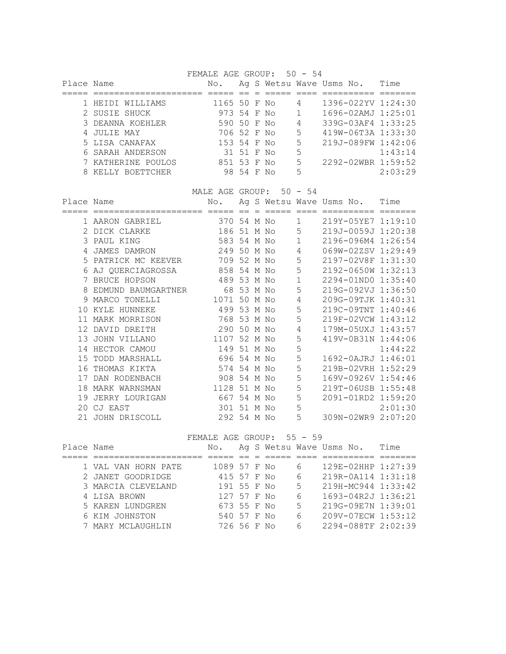FEMALE AGE GROUP: 50 - 54

| Place Name |                    | No.          |            |    |    | Ag S Wetsu Wave Usms No. | Time    |
|------------|--------------------|--------------|------------|----|----|--------------------------|---------|
|            |                    |              |            |    |    |                          |         |
|            | 1 HEIDI WILLIAMS   | 1165 50 F No |            |    | 4  | 1396-022YV 1:24:30       |         |
|            | 2 SUSIE SHUCK      | 973 54 F No  |            |    |    | $1696 - 02AMJ$ $1:25:01$ |         |
|            | 3 DEANNA KOEHLER   | 590 50 F No  |            |    | 4  | 339G-03AF4 1:33:25       |         |
|            | 4 JULIE MAY        | 706 52 F No  |            |    | 5  | 419W-06T3A 1:33:30       |         |
|            | 5 LISA CANAFAX     | 153 54 F No  |            |    | 5  | 219J-089FW 1:42:06       |         |
|            | 6 SARAH ANDERSON   |              | 31 51 F No |    | 5  |                          | 1:43:14 |
|            | 7 KATHERINE POULOS | 851 53 F No  |            |    | .5 | 2292-02WBR 1:59:52       |         |
|            | 8 KELLY BOETTCHER  |              | 98 54 F    | N∩ | 5  |                          | 2:03:29 |

MALE AGE GROUP: 50 - 54

| Place Name |                     | No.          |            |  |             | Ag S Wetsu Wave Usms No. | Time    |
|------------|---------------------|--------------|------------|--|-------------|--------------------------|---------|
|            |                     |              |            |  |             |                          |         |
|            | 1 AARON GABRIEL     | 370 54 M No  |            |  | $\mathbf 1$ | 219Y-05YE7 1:19:10       |         |
|            | 2 DICK CLARKE       | 186 51 M No  |            |  | 5           | 219J-0059J 1:20:38       |         |
|            | 3 PAUL KING         | 583 54 M No  |            |  | 1           | 2196-096M4 1:26:54       |         |
| 4          | JAMES DAMRON        | 249 50 M No  |            |  | 4           | 069W-02ZSV 1:29:49       |         |
|            | 5 PATRICK MC KEEVER | 709 52 M No  |            |  | 5           | 2197-02V8F 1:31:30       |         |
| 6          | AJ QUERCIAGROSSA    | 858 54 M No  |            |  | 5           | 2192-0650W 1:32:13       |         |
|            | 7 BRUCE HOPSON      | 489 53 M No  |            |  | $\mathbf 1$ | 2294-01ND0 1:35:40       |         |
| 8          | EDMUND BAUMGARTNER  |              | 68 53 M No |  | 5           | 219G-092VJ 1:36:50       |         |
|            | 9 MARCO TONELLI     | 1071         | 50 M No    |  | 4           | 209G-09TJK 1:40:31       |         |
|            | 10 KYLE HUNNEKE     | 499 53 M No  |            |  | 5           | 219C-09TNT 1:40:46       |         |
| 11         | MARK MORRISON       | 768 53 M No  |            |  | 5           | 219F-02VCW 1:43:12       |         |
| 12         | DAVID DREITH        | 290 50 M No  |            |  | 4           | 179M-05UXJ 1:43:57       |         |
|            | 13 JOHN VILLANO     | 1107         | 52 M No    |  | 5           | 419V-0B31N 1:44:06       |         |
|            | 14 HECTOR CAMOU     | 149 51 M No  |            |  | 5           |                          | 1:44:22 |
| 1.5        | TODD MARSHALL       | 696 54 M No  |            |  | 5           | 1692-0AJRJ 1:46:01       |         |
| 16         | THOMAS KIKTA        | 574          | 54 M No    |  | 5           | 219B-02VRH 1:52:29       |         |
| 17         | DAN RODENBACH       | 908 54 M No  |            |  | 5           | 169V-0926V 1:54:46       |         |
| 18         | MARK WARNSMAN       | 1128 51 M No |            |  | 5           | 219T-06USB 1:55:48       |         |
| 19         | JERRY LOURIGAN      | 667 54 M No  |            |  | 5           | 2091-01RD2 1:59:20       |         |
|            | 20 CJ EAST          | 301 51 M No  |            |  | 5           |                          | 2:01:30 |
|            | 21 JOHN DRISCOLL    | 292 54 M No  |            |  | 5           | 309N-02WR9 2:07:20       |         |

FEMALE AGE GROUP: 55 - 59

| Place Name |                     | No.          |  |    | Ag S Wetsu Wave Usms No. | Time |
|------------|---------------------|--------------|--|----|--------------------------|------|
|            |                     |              |  |    |                          |      |
|            | 1 VAL VAN HORN PATE | 1089 57 F No |  | 6  | 129E-02HHP 1:27:39       |      |
|            | 2 JANET GOODRIDGE   | 415 57 F No  |  | 6  | 219R-0A114 1:31:18       |      |
|            | 3 MARCIA CLEVELAND  | 191 55 F No  |  | 5  | 219H-MC944 1:33:42       |      |
|            | 4 LISA BROWN        | 127 57 F No  |  | 6  | 1693-04R2J 1:36:21       |      |
|            | 5 KAREN LUNDGREN    | 673 55 F No  |  | .5 | 219G-09E7N 1:39:01       |      |
|            | 6 KIM JOHNSTON      | 540 57 F No  |  | 6  | 209V-07ECW 1:53:12       |      |
|            | 7 MARY MCLAUGHLIN   | 726 56 F No  |  | 6  | 2294-088TF 2:02:39       |      |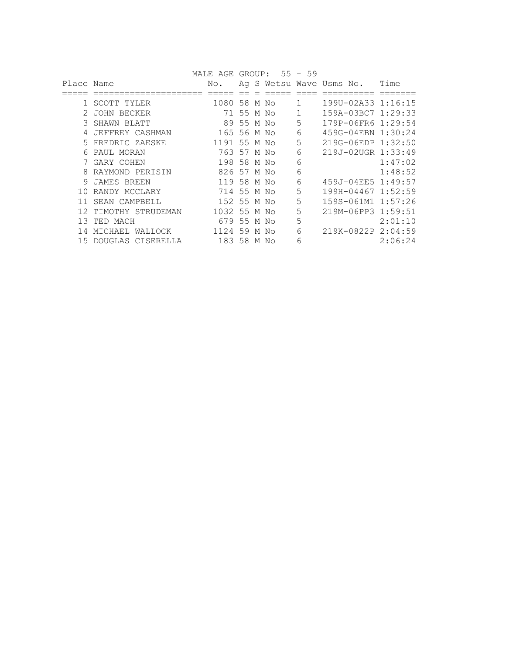|            |                    | MALE AGE     |            |   | $GROUP: 55 - 59$ |   |                          |         |
|------------|--------------------|--------------|------------|---|------------------|---|--------------------------|---------|
| Place Name |                    | No.          |            |   |                  |   | Ag S Wetsu Wave Usms No. | Time    |
|            |                    |              |            |   |                  |   |                          |         |
|            | SCOTT TYLER        | 1080 58 M No |            |   |                  | 1 | 1990-02A33 1:16:15       |         |
|            | JOHN BECKER        | 71           | 55 M No    |   |                  |   | 159A-03BC7 1:29:33       |         |
|            | SHAWN BLATT        |              | 89 55 M No |   |                  | 5 | 179P-06FR6 1:29:54       |         |
|            | JEFFREY CASHMAN    | 165 56 M No  |            |   |                  | 6 | 459G-04EBN 1:30:24       |         |
|            | 5 FREDRIC ZAESKE   | 1191 55 M No |            |   |                  | 5 | 219G-06EDP 1:32:50       |         |
| 6          | PAUL MORAN         | 763 57 M No  |            |   |                  | 6 | 219J-02UGR 1:33:49       |         |
|            | 7 GARY COHEN       | 198 58 M No  |            |   |                  | 6 |                          | 1:47:02 |
| 8          | RAYMOND PERISIN    | 826 57 M No  |            |   |                  | 6 |                          | 1:48:52 |
| 9          | JAMES BREEN        | 119          | 58 M No    |   |                  | 6 | 459J-04EE5 1:49:57       |         |
| 1 O        | RANDY MCCLARY      | 714          | 55 M No    |   |                  | 5 | 199H-04467 1:52:59       |         |
|            | SEAN CAMPBELL      | 152 55 M No  |            |   |                  | 5 | 159S-061M1 1:57:26       |         |
|            | TIMOTHY STRUDEMAN  | 1032         | 55         |   | M No             | 5 | 219M-06PP3 1:59:51       |         |
| 13         | TED MACH           | 679          | 55         |   | M No             | 5 |                          | 2:01:10 |
|            | WALLOCK<br>MICHAEL | 1124         | 59         | М | N∩               | 6 | 219K-0822P 2:04:59       |         |
| 1.5        | DOUGLAS CISERELLA  | 183 58 M No  |            |   |                  | 6 |                          | 2:06:24 |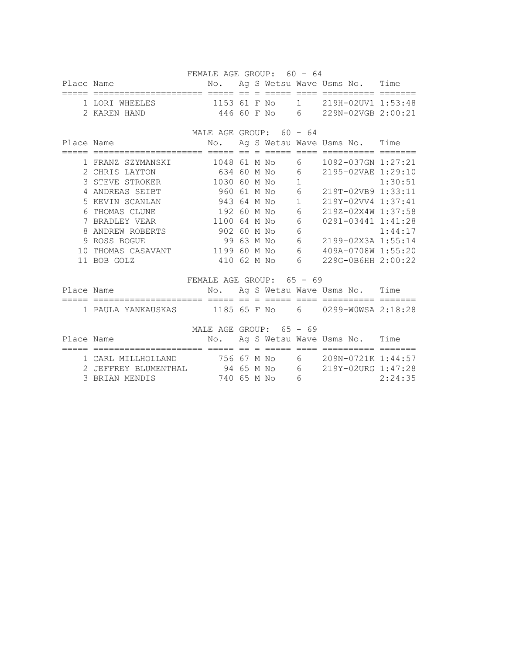FEMALE AGE GROUP: 60 - 64 Place Name No. Ag S Wetsu Wave Usms No. Time ===== ===================== ===== == = ===== ==== ========== ======= 1 LORI WHEELES 1153 61 F No 1 219H-02UV1 1:53:48 2 KAREN HAND 446 60 F No 6 229N-02VGB 2:00:21 MALE AGE GROUP: 60 - 64 Place Name  $N$ o. Ag S Wetsu Wave Usms No. Time ===== ===================== ===== == = ===== ==== ========== ======= 1 FRANZ SZYMANSKI 1048 61 M No 6 1092-037GN 1:27:21 2 CHRIS LAYTON 634 60 M No 6 2195-02VAE 1:29:10 3 STEVE STROKER 1030 60 M No 1 1:30:51 4 ANDREAS SEIBT 960 61 M No 6 219T-02VB9 1:33:11 5 KEVIN SCANLAN 943 64 M No 1 219Y-02VV4 1:37:41 6 THOMAS CLUNE 192 60 M No 6 2192-02X4W 1:37:58<br>7 BRADLEY VEAR 1100 64 M No 6 0291-03441 1:41:28<br>8 ANDREW ROBERTS 902 60 M No 6 1:44:17 7 BRADLEY VEAR 1100 64 M No 6 0291-03441 1:41:28 8 ANDREW ROBERTS 902 60 M No 6 1:44:17 9 ROSS BOGUE 99 63 M No 6 2199-02X3A 1:55:14 10 THOMAS CASAVANT 1199 60 M No 6 409A-0708W 1:55:20 11 BOB GOLZ 410 62 M No 6 229G-0B6HH 2:00:22 FEMALE AGE GROUP: 65 - 69 Place Name No. Ag S Wetsu Wave Usms No. Time ===== ===================== ===== == = ===== ==== ========== ======= 1 PAULA YANKAUSKAS 1185 65 F No 6 0299-W0WSA 2:18:28

MALE AGE GROUP: 65 - 69 Place Name  $N$ o. Ag S Wetsu Wave Usms No. Time ===== ===================== ===== == = ===== ==== ========== ======= 1 CARL MILLHOLLAND 756 67 M No 6 209N-0721K 1:44:57

 2 JEFFREY BLUMENTHAL 94 65 M No 6 219Y-02URG 1:47:28 3 BRIAN MENDIS 740 65 M No 6 2:24:35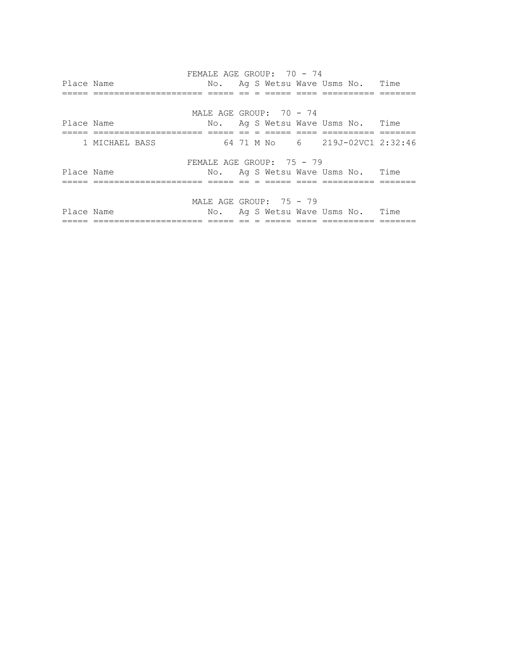FEMALE AGE GROUP: 70 - 74 Place Name  $N$ o. Ag S Wetsu Wave Usms No. Time ===== ===================== ===== == = ===== ==== ========== ======= MALE AGE GROUP: 70 - 74 Place Name No. Ag S Wetsu Wave Usms No. Time ===== ===================== ===== == = ===== ==== ========== ======= 1 MICHAEL BASS 64 71 M No 6 219J-02VC1 2:32:46 FEMALE AGE GROUP: 75 - 79 Place Name  $N$ o. Ag S Wetsu Wave Usms No. Time ===== ===================== ===== == = ===== ==== ========== ======= MALE AGE GROUP: 75 - 79 Place Name  $N$ o. Ag S Wetsu Wave Usms No. Time ===== ===================== ===== == = ===== ==== ========== =======